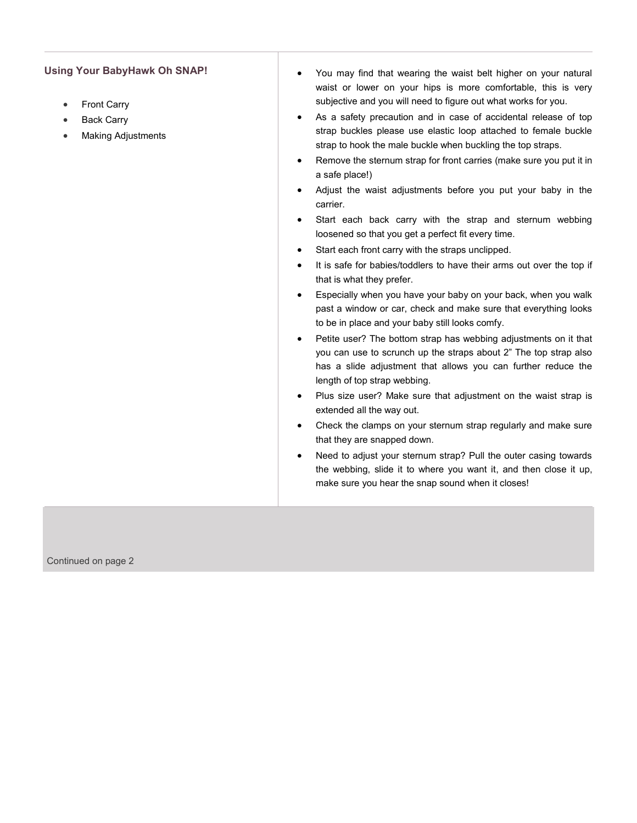## **Using Your BabyHawk Oh SNAP!**

- [Front Carry](http://www.babyhawk.com/Instructions/OhSnap.aspx#osfc)
- [Back Carry](http://www.babyhawk.com/Instructions/OhSnap.aspx#osbc)
- [Making Adjustments](http://www.babyhawk.com/Instructions/OhSnap.aspx#osadj)
- You may find that wearing the waist belt higher on your natural waist or lower on your hips is more comfortable, this is very subjective and you will need to figure out what works for you.
- As a safety precaution and in case of accidental release of top strap buckles please use elastic loop attached to female buckle strap to hook the male buckle when buckling the top straps.
- Remove the sternum strap for front carries (make sure you put it in a safe place!)
- Adjust the waist adjustments before you put your baby in the carrier.
- Start each back carry with the strap and sternum webbing loosened so that you get a perfect fit every time.
- Start each front carry with the straps unclipped.
- It is safe for babies/toddlers to have their arms out over the top if that is what they prefer.
- Especially when you have your baby on your back, when you walk past a window or car, check and make sure that everything looks to be in place and your baby still looks comfy.
- Petite user? The bottom strap has webbing adjustments on it that you can use to scrunch up the straps about 2" The top strap also has a slide adjustment that allows you can further reduce the length of top strap webbing.
- Plus size user? Make sure that adjustment on the waist strap is extended all the way out.
- Check the clamps on your sternum strap regularly and make sure that they are snapped down.
- Need to adjust your sternum strap? Pull the outer casing towards the webbing, slide it to where you want it, and then close it up, make sure you hear the snap sound when it closes!

Continued on page 2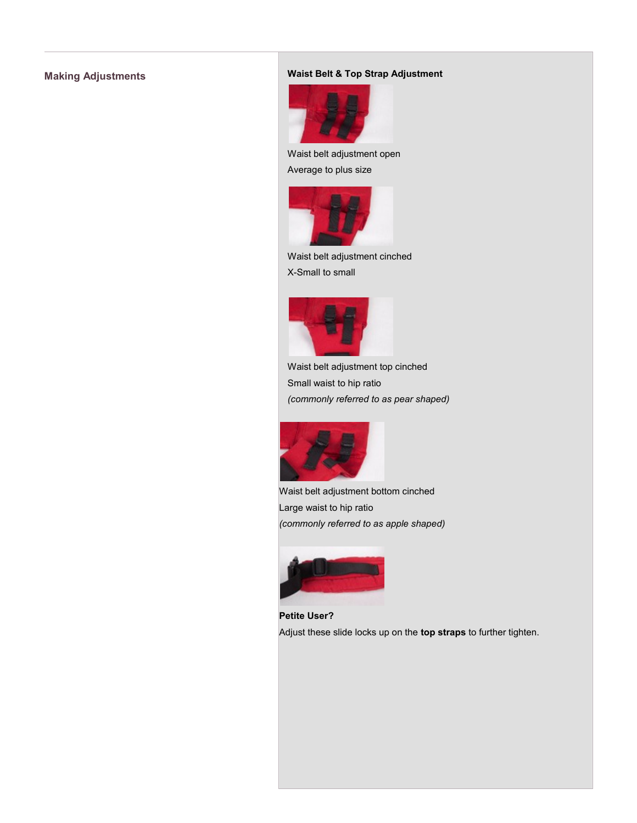# **Making Adjustments Waist Belt & Top Strap Adjustment**



Waist belt adjustment open Average to plus size



Waist belt adjustment cinched X-Small to small



Waist belt adjustment top cinched Small waist to hip ratio *(commonly referred to as pear shaped)*



Waist belt adjustment bottom cinched Large waist to hip ratio *(commonly referred to as apple shaped)*



**Petite User?** Adjust these slide locks up on the **top straps** to further tighten.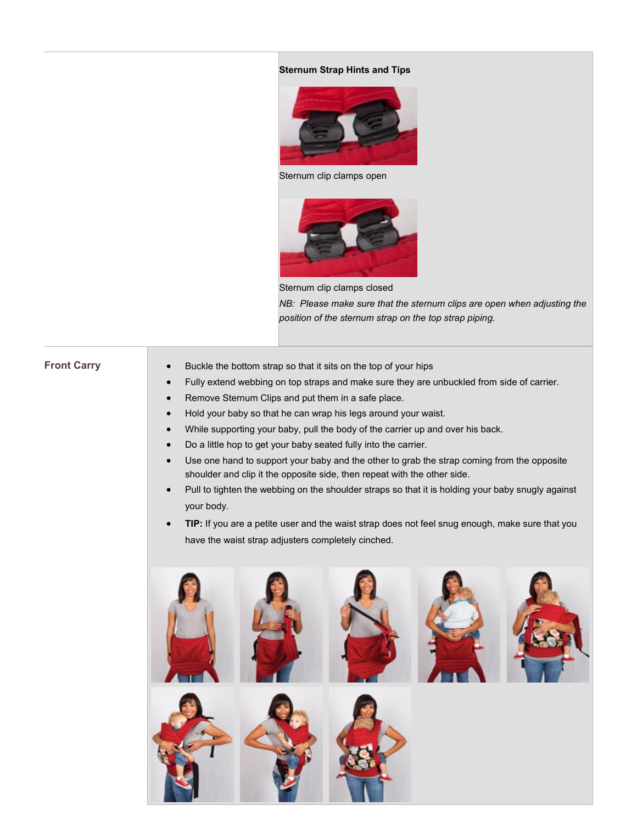### **Sternum Strap Hints and Tips**



Sternum clip clamps open



Sternum clip clamps closed *NB: Please make sure that the sternum clips are open when adjusting the position of the sternum strap on the top strap piping.* 

- **Front Carry Buckle the bottom strap so that it sits on the top of your hips** 
	- Fully extend webbing on top straps and make sure they are unbuckled from side of carrier.
	- Remove Sternum Clips and put them in a safe place.
	- Hold your baby so that he can wrap his legs around your waist.
	- While supporting your baby, pull the body of the carrier up and over his back.
	- Do a little hop to get your baby seated fully into the carrier.
	- Use one hand to support your baby and the other to grab the strap coming from the opposite shoulder and clip it the opposite side, then repeat with the other side.
	- Pull to tighten the webbing on the shoulder straps so that it is holding your baby snugly against your body.
	- **TIP:** If you are a petite user and the waist strap does not feel snug enough, make sure that you have the waist strap adjusters completely cinched.